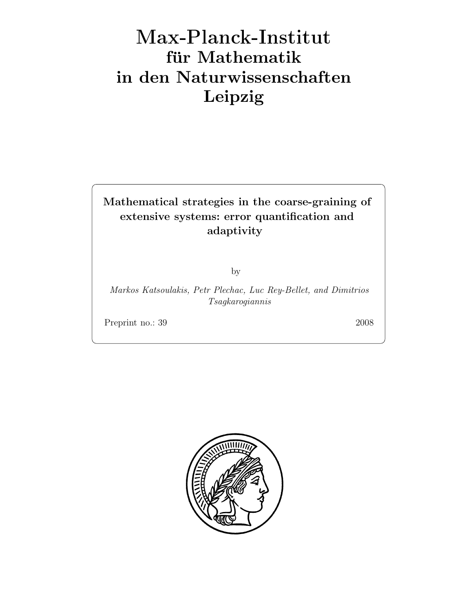# Max-Plan
k-Institut für Mathematik in den Naturwissenschaften Leipzig

## Mathematical strategies in the coarse-graining of extensive systems: error quantification and adaptivity

by

Markos Katsoulakis, Petr Plechac, Luc Rey-Bellet, and Dimitrios Tsagkarogiannis

Preprint no.: 39 2008

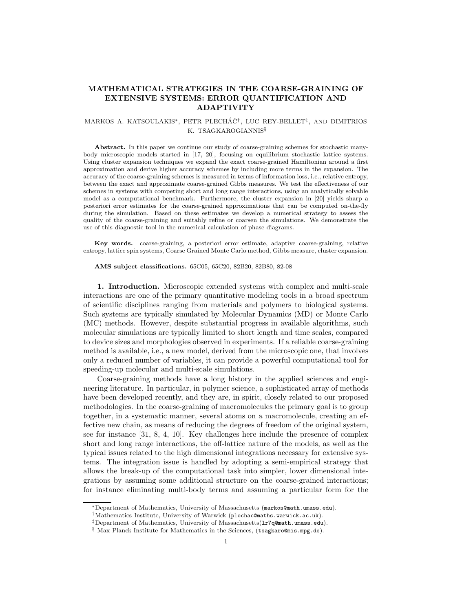### MATHEMATICAL STRATEGIES IN THE COARSE-GRAINING OF EXTENSIVE SYSTEMS: ERROR QUANTIFICATION AND ADAPTIVITY

#### MARKOS A. KATSOULAKIS<sup>∗</sup>, PETR PLECHA´Cˇ † , LUC REY-BELLET‡ , AND DIMITRIOS K. TSAGKAROGIANNIS§

Abstract. In this paper we continue our study of coarse-graining schemes for stochastic manybody microscopic models started in [17, 20], focusing on equilibrium stochastic lattice systems. Using cluster expansion techniques we expand the exact coarse-grained Hamiltonian around a first approximation and derive higher accuracy schemes by including more terms in the expansion. The accuracy of the coarse-graining schemes is measured in terms of information loss, i.e., relative entropy, between the exact and approximate coarse-grained Gibbs measures. We test the effectiveness of our schemes in systems with competing short and long range interactions, using an analytically solvable model as a computational benchmark. Furthermore, the cluster expansion in [20] yields sharp a posteriori error estimates for the coarse-grained approximations that can be computed on-the-fly during the simulation. Based on these estimates we develop a numerical strategy to assess the quality of the coarse-graining and suitably refine or coarsen the simulations. We demonstrate the use of this diagnostic tool in the numerical calculation of phase diagrams.

Key words. coarse-graining, a posteriori error estimate, adaptive coarse-graining, relative entropy, lattice spin systems, Coarse Grained Monte Carlo method, Gibbs measure, cluster expansion.

#### AMS subject classifications. 65C05, 65C20, 82B20, 82B80, 82-08

1. Introduction. Microscopic extended systems with complex and multi-scale interactions are one of the primary quantitative modeling tools in a broad spectrum of scientific disciplines ranging from materials and polymers to biological systems. Such systems are typically simulated by Molecular Dynamics (MD) or Monte Carlo (MC) methods. However, despite substantial progress in available algorithms, such molecular simulations are typically limited to short length and time scales, compared to device sizes and morphologies observed in experiments. If a reliable coarse-graining method is available, i.e., a new model, derived from the microscopic one, that involves only a reduced number of variables, it can provide a powerful computational tool for speeding-up molecular and multi-scale simulations.

Coarse-graining methods have a long history in the applied sciences and engineering literature. In particular, in polymer science, a sophisticated array of methods have been developed recently, and they are, in spirit, closely related to our proposed methodologies. In the coarse-graining of macromolecules the primary goal is to group together, in a systematic manner, several atoms on a macromolecule, creating an effective new chain, as means of reducing the degrees of freedom of the original system, see for instance [31, 8, 4, 10]. Key challenges here include the presence of complex short and long range interactions, the off-lattice nature of the models, as well as the typical issues related to the high dimensional integrations necessary for extensive systems. The integration issue is handled by adopting a semi-empirical strategy that allows the break-up of the computational task into simpler, lower dimensional integrations by assuming some additional structure on the coarse-grained interactions; for instance eliminating multi-body terms and assuming a particular form for the

<sup>∗</sup>Department of Mathematics, University of Massachusetts (markos@math.umass.edu).

<sup>†</sup>Mathematics Institute, University of Warwick (plechac@maths.warwick.ac.uk).

<sup>&</sup>lt;sup>‡</sup>Department of Mathematics, University of Massachusetts( $1r7q$ @math.umass.edu).

<sup>§</sup> Max Planck Institute for Mathematics in the Sciences, (tsagkaro@mis.mpg.de).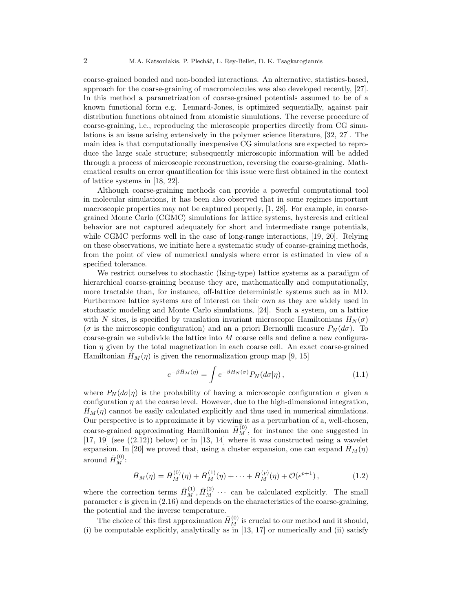coarse-grained bonded and non-bonded interactions. An alternative, statistics-based, approach for the coarse-graining of macromolecules was also developed recently, [27]. In this method a parametrization of coarse-grained potentials assumed to be of a known functional form e.g. Lennard-Jones, is optimized sequentially, against pair distribution functions obtained from atomistic simulations. The reverse procedure of coarse-graining, i.e., reproducing the microscopic properties directly from CG simulations is an issue arising extensively in the polymer science literature, [32, 27]. The main idea is that computationally inexpensive CG simulations are expected to reproduce the large scale structure; subsequently microscopic information will be added through a process of microscopic reconstruction, reversing the coarse-graining. Mathematical results on error quantification for this issue were first obtained in the context of lattice systems in [18, 22].

Although coarse-graining methods can provide a powerful computational tool in molecular simulations, it has been also observed that in some regimes important macroscopic properties may not be captured properly, [1, 28]. For example, in coarsegrained Monte Carlo (CGMC) simulations for lattice systems, hysteresis and critical behavior are not captured adequately for short and intermediate range potentials, while CGMC performs well in the case of long-range interactions, [19, 20]. Relying on these observations, we initiate here a systematic study of coarse-graining methods, from the point of view of numerical analysis where error is estimated in view of a specified tolerance.

We restrict ourselves to stochastic (Ising-type) lattice systems as a paradigm of hierarchical coarse-graining because they are, mathematically and computationally, more tractable than, for instance, off-lattice deterministic systems such as in MD. Furthermore lattice systems are of interest on their own as they are widely used in stochastic modeling and Monte Carlo simulations, [24]. Such a system, on a lattice with N sites, is specified by translation invariant microscopic Hamiltonians  $H_N(\sigma)$ ( $\sigma$  is the microscopic configuration) and an a priori Bernoulli measure  $P_N(d\sigma)$ . To coarse-grain we subdivide the lattice into M coarse cells and define a new configuration  $\eta$  given by the total magnetization in each coarse cell. An exact coarse-grained Hamiltonian  $H_M(\eta)$  is given the renormalization group map [9, 15]

$$
e^{-\beta \bar{H}_M(\eta)} = \int e^{-\beta H_N(\sigma)} P_N(d\sigma|\eta) , \qquad (1.1)
$$

where  $P_N(d\sigma|\eta)$  is the probability of having a microscopic configuration  $\sigma$  given a configuration  $\eta$  at the coarse level. However, due to the high-dimensional integration,  $H_M(\eta)$  cannot be easily calculated explicitly and thus used in numerical simulations. Our perspective is to approximate it by viewing it as a perturbation of a, well-chosen, coarse-grained approximating Hamiltonian  $\bar{H}_{M}^{(0)}$ , for instance the one suggested in  $[17, 19]$  (see  $((2.12))$  below) or in  $[13, 14]$  where it was constructed using a wavelet expansion. In [20] we proved that, using a cluster expansion, one can expand  $\bar{H}_M(\eta)$ around  $\bar{H}_{M}^{(0)}$ :

$$
\bar{H}_M(\eta) = \bar{H}_M^{(0)}(\eta) + \bar{H}_M^{(1)}(\eta) + \dots + \bar{H}_M^{(p)}(\eta) + \mathcal{O}(\epsilon^{p+1}), \tag{1.2}
$$

where the correction terms  $\bar{H}_{M}^{(1)}, \bar{H}_{M}^{(2)} \cdots$  can be calculated explicitly. The small parameter  $\epsilon$  is given in (2.16) and depends on the characteristics of the coarse-graining, the potential and the inverse temperature.

The choice of this first approximation  $\bar{H}_{M}^{(0)}$  is crucial to our method and it should, (i) be computable explicitly, analytically as in [13, 17] or numerically and (ii) satisfy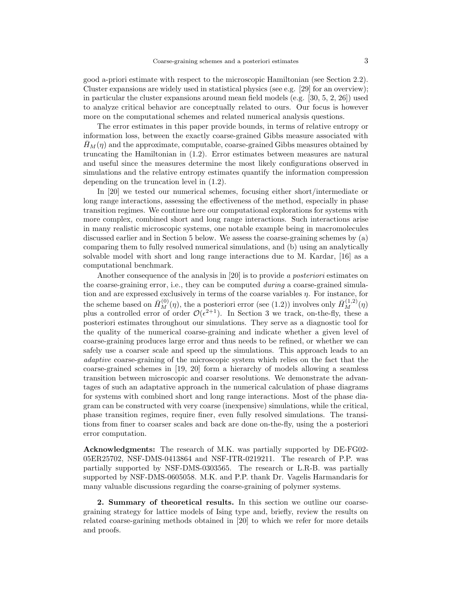good a-priori estimate with respect to the microscopic Hamiltonian (see Section 2.2). Cluster expansions are widely used in statistical physics (see e.g. [29] for an overview); in particular the cluster expansions around mean field models (e.g. [30, 5, 2, 26]) used to analyze critical behavior are conceptually related to ours. Our focus is however more on the computational schemes and related numerical analysis questions.

The error estimates in this paper provide bounds, in terms of relative entropy or information loss, between the exactly coarse-grained Gibbs measure associated with  $H_M(\eta)$  and the approximate, computable, coarse-grained Gibbs measures obtained by truncating the Hamiltonian in (1.2). Error estimates between measures are natural and useful since the measures determine the most likely configurations observed in simulations and the relative entropy estimates quantify the information compression depending on the truncation level in (1.2).

In [20] we tested our numerical schemes, focusing either short/intermediate or long range interactions, assessing the effectiveness of the method, especially in phase transition regimes. We continue here our computational explorations for systems with more complex, combined short and long range interactions. Such interactions arise in many realistic microscopic systems, one notable example being in macromolecules discussed earlier and in Section 5 below. We assess the coarse-graining schemes by (a) comparing them to fully resolved numerical simulations, and (b) using an analytically solvable model with short and long range interactions due to M. Kardar, [16] as a computational benchmark.

Another consequence of the analysis in [20] is to provide a posteriori estimates on the coarse-graining error, i.e., they can be computed *during* a coarse-grained simulation and are expressed exclusively in terms of the coarse variables  $\eta$ . For instance, for the scheme based on  $\bar{H}_{M}^{(0)}(\eta)$ , the a posteriori error (see (1.2)) involves only  $\bar{H}_{M}^{(1,2)}(\eta)$ plus a controlled error of order  $\mathcal{O}(\epsilon^{2+1})$ . In Section 3 we track, on-the-fly, these a posteriori estimates throughout our simulations. They serve as a diagnostic tool for the quality of the numerical coarse-graining and indicate whether a given level of coarse-graining produces large error and thus needs to be refined, or whether we can safely use a coarser scale and speed up the simulations. This approach leads to an adaptive coarse-graining of the microscopic system which relies on the fact that the coarse-grained schemes in [19, 20] form a hierarchy of models allowing a seamless transition between microscopic and coarser resolutions. We demonstrate the advantages of such an adaptative approach in the numerical calculation of phase diagrams for systems with combined short and long range interactions. Most of the phase diagram can be constructed with very coarse (inexpensive) simulations, while the critical, phase transition regimes, require finer, even fully resolved simulations. The transitions from finer to coarser scales and back are done on-the-fly, using the a posteriori error computation.

Acknowledgments: The research of M.K. was partially supported by DE-FG02- 05ER25702, NSF-DMS-0413864 and NSF-ITR-0219211. The research of P.P. was partially supported by NSF-DMS-0303565. The research or L.R-B. was partially supported by NSF-DMS-0605058. M.K. and P.P. thank Dr. Vagelis Harmandaris for many valuable discussions regarding the coarse-graining of polymer systems.

2. Summary of theoretical results. In this section we outline our coarsegraining strategy for lattice models of Ising type and, briefly, review the results on related coarse-garining methods obtained in [20] to which we refer for more details and proofs.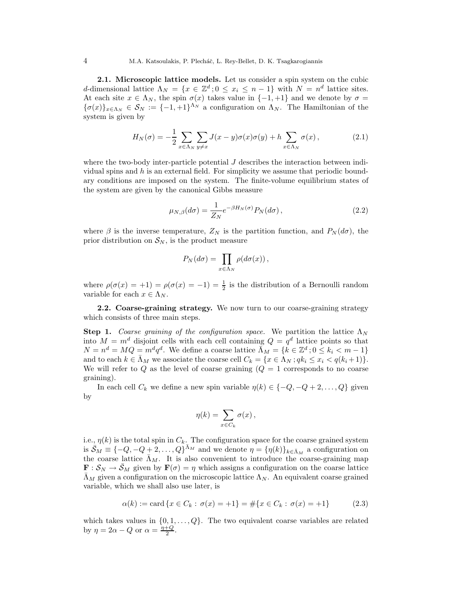2.1. Microscopic lattice models. Let us consider a spin system on the cubic d-dimensional lattice  $\Lambda_N = \{x \in \mathbb{Z}^d : 0 \leq x_i \leq n-1\}$  with  $N = n^d$  lattice sites. At each site  $x \in \Lambda_N$ , the spin  $\sigma(x)$  takes value in  $\{-1, +1\}$  and we denote by  $\sigma =$  ${\{\sigma(x)\}}_{x\in\Lambda_N} \in \mathcal{S}_N := {\{-1,+1\}}^{\Lambda_N}$  a configuration on  $\Lambda_N$ . The Hamiltonian of the system is given by

$$
H_N(\sigma) = -\frac{1}{2} \sum_{x \in \Lambda_N} \sum_{y \neq x} J(x - y) \sigma(x) \sigma(y) + h \sum_{x \in \Lambda_N} \sigma(x) , \qquad (2.1)
$$

where the two-body inter-particle potential  $J$  describes the interaction between individual spins and  $h$  is an external field. For simplicity we assume that periodic boundary conditions are imposed on the system. The finite-volume equilibrium states of the system are given by the canonical Gibbs measure

$$
\mu_{N,\beta}(d\sigma) = \frac{1}{Z_N} e^{-\beta H_N(\sigma)} P_N(d\sigma), \qquad (2.2)
$$

where  $\beta$  is the inverse temperature,  $Z_N$  is the partition function, and  $P_N(d\sigma)$ , the prior distribution on  $S_N$ , is the product measure

$$
P_N(d\sigma) = \prod_{x \in \Lambda_N} \rho(d\sigma(x)),
$$

where  $\rho(\sigma(x) = +1) = \rho(\sigma(x) = -1) = \frac{1}{2}$  is the distribution of a Bernoulli random variable for each  $x \in \Lambda_N$ .

2.2. Coarse-graining strategy. We now turn to our coarse-graining strategy which consists of three main steps.

**Step 1.** Coarse graining of the configuration space. We partition the lattice  $\Lambda_N$ into  $M = m<sup>d</sup>$  disjoint cells with each cell containing  $Q = q<sup>d</sup>$  lattice points so that  $N = n^d = MQ = m^dq^d$ . We define a coarse lattice  $\bar{\Lambda}_M = \{k \in \mathbb{Z}^d : 0 \leq k_i < m - 1\}$ and to each  $k \in \bar{\Lambda}_M$  we associate the coarse cell  $C_k = \{x \in \Lambda_N : qk_i \leq x_i < q(k_i+1)\}.$ We will refer to  $Q$  as the level of coarse graining  $(Q = 1$  corresponds to no coarse graining).

In each cell  $C_k$  we define a new spin variable  $\eta(k) \in \{-Q, -Q+2, \ldots, Q\}$  given by

$$
\eta(k) = \sum_{x \in C_k} \sigma(x) \,,
$$

i.e.,  $\eta(k)$  is the total spin in  $C_k$ . The configuration space for the coarse grained system is  $\mathcal{S}_M \equiv \{-Q, -Q+\overline{2}, \ldots, Q\}^{\bar{\Lambda}_M}$  and we denote  $\eta = \{\eta(k)\}_{k \in \bar{\Lambda}_M}$  a configuration on the coarse lattice  $\bar{\Lambda}_M$ . It is also convenient to introduce the coarse-graining map  $\mathbf{F}: \mathcal{S}_N \to \bar{\mathcal{S}}_M$  given by  $\mathbf{F}(\sigma) = \eta$  which assigns a configuration on the coarse lattice  $\bar{\Lambda}_M$  given a configuration on the microscopic lattice  $\Lambda_N$ . An equivalent coarse grained variable, which we shall also use later, is

$$
\alpha(k) := \text{card}\left\{x \in C_k : \sigma(x) = +1\right\} = \#\left\{x \in C_k : \sigma(x) = +1\right\} \tag{2.3}
$$

which takes values in  $\{0, 1, \ldots, Q\}$ . The two equivalent coarse variables are related by  $\eta = 2\alpha - Q$  or  $\alpha = \frac{\eta + Q}{2}$ .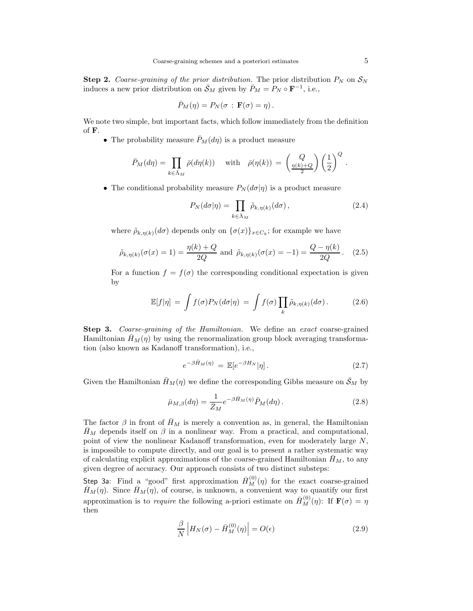**Step 2.** Coarse-graining of the prior distribution. The prior distribution  $P_N$  on  $S_N$ induces a new prior distribution on  $\bar{S}_M$  given by  $\bar{P}_M = P_N \circ \mathbf{F}^{-1}$ , i.e.,

$$
\bar{P}_M(\eta) = P_N(\sigma : \mathbf{F}(\sigma) = \eta).
$$

We note two simple, but important facts, which follow immediately from the definition of F.

• The probability measure  $\bar{P}_M(d\eta)$  is a product measure

$$
\bar{P}_M(d\eta) = \prod_{k \in \bar{\Lambda}_M} \bar{\rho}(d\eta(k)) \quad \text{with} \quad \bar{\rho}(\eta(k)) = \left(\frac{Q}{\frac{\eta(k)+Q}{2}}\right) \left(\frac{1}{2}\right)^Q.
$$

• The conditional probability measure  $P_N(d\sigma|\eta)$  is a product measure

$$
P_N(d\sigma|\eta) = \prod_{k \in \bar{\Lambda}_M} \tilde{\rho}_{k,\eta(k)}(d\sigma), \qquad (2.4)
$$

where  $\tilde{\rho}_{k,\eta(k)}(d\sigma)$  depends only on  $\{\sigma(x)\}_{x\in C_k}$ ; for example we have

$$
\tilde{\rho}_{k,\eta(k)}(\sigma(x) = 1) = \frac{\eta(k) + Q}{2Q} \text{ and } \tilde{\rho}_{k,\eta(k)}(\sigma(x) = -1) = \frac{Q - \eta(k)}{2Q}. \quad (2.5)
$$

For a function  $f = f(\sigma)$  the corresponding conditional expectation is given by

$$
\mathbb{E}[f|\eta] = \int f(\sigma) P_N(d\sigma|\eta) = \int f(\sigma) \prod_k \tilde{\rho}_{k,\eta(k)}(d\sigma). \tag{2.6}
$$

Step 3. Coarse-graining of the Hamiltonian. We define an exact coarse-grained Hamiltonian  $H_M(\eta)$  by using the renormalization group block averaging transformation (also known as Kadanoff transformation), i.e.,

$$
e^{-\beta \bar{H}_M(\eta)} = \mathbb{E}[e^{-\beta H_N}|\eta]. \tag{2.7}
$$

Given the Hamiltonian  $\bar{H}_M(\eta)$  we define the corresponding Gibbs measure on  $\bar{S}_M$  by

$$
\bar{\mu}_{M,\beta}(d\eta) = \frac{1}{\bar{Z}_M} e^{-\beta \bar{H}_M(\eta)} \bar{P}_M(d\eta). \tag{2.8}
$$

The factor  $\beta$  in front of  $\bar{H}_M$  is merely a convention as, in general, the Hamiltonian  $\bar{H}_M$  depends itself on  $\beta$  in a nonlinear way. From a practical, and computational, point of view the nonlinear Kadanoff transformation, even for moderately large N, is impossible to compute directly, and our goal is to present a rather systematic way of calculating explicit approximations of the coarse-grained Hamiltonian  $H_M$ , to any given degree of accuracy. Our approach consists of two distinct substeps:

Step 3a: Find a "good" first approximation  $\bar{H}_{M}^{(0)}(\eta)$  for the exact coarse-grained  $\bar{H}_M(\eta)$ . Since  $\bar{H}_M(\eta)$ , of course, is unknown, a convenient way to quantify our first approximation is to *require* the following a-priori estimate on  $\bar{H}_{M}^{(0)}(\eta)$ : If  $\mathbf{F}(\sigma) = \eta$ then

$$
\frac{\beta}{N} \left| H_N(\sigma) - \bar{H}_M^{(0)}(\eta) \right| = O(\epsilon)
$$
\n(2.9)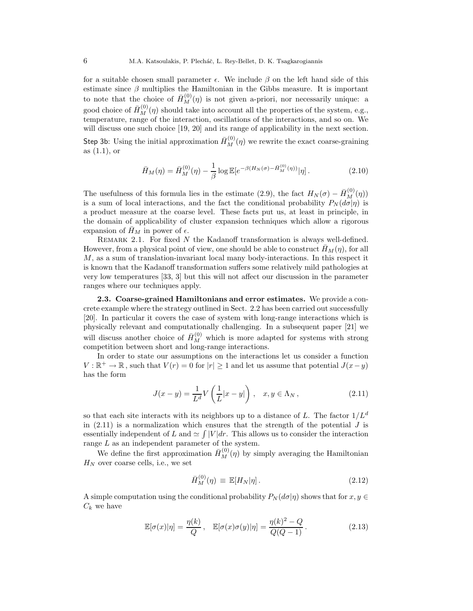for a suitable chosen small parameter  $\epsilon$ . We include  $\beta$  on the left hand side of this estimate since  $\beta$  multiplies the Hamiltonian in the Gibbs measure. It is important to note that the choice of  $\bar{H}_{M}^{(0)}(\eta)$  is not given a-priori, nor necessarily unique: a good choice of  $\bar{H}_{M}^{(0)}(\eta)$  should take into account all the properties of the system, e.g., temperature, range of the interaction, oscillations of the interactions, and so on. We will discuss one such choice [19, 20] and its range of applicability in the next section.

Step 3b: Using the initial approximation  $\bar{H}_M^{(0)}(\eta)$  we rewrite the exact coarse-graining as (1.1), or

$$
\bar{H}_M(\eta) = \bar{H}_M^{(0)}(\eta) - \frac{1}{\beta} \log \mathbb{E}[e^{-\beta (H_N(\sigma) - \bar{H}_M^{(0)}(\eta))}|\eta]. \tag{2.10}
$$

The usefulness of this formula lies in the estimate (2.9), the fact  $H_N(\sigma) - \bar{H}_M^{(0)}(\eta)$ is a sum of local interactions, and the fact the conditional probability  $P_N(d\sigma|\eta)$  is a product measure at the coarse level. These facts put us, at least in principle, in the domain of applicability of cluster expansion techniques which allow a rigorous expansion of  $H_M$  in power of  $\epsilon$ .

REMARK 2.1. For fixed  $N$  the Kadanoff transformation is always well-defined. However, from a physical point of view, one should be able to construct  $H_M(\eta)$ , for all  $M$ , as a sum of translation-invariant local many body-interactions. In this respect it is known that the Kadanoff transformation suffers some relatively mild pathologies at very low temperatures [33, 3] but this will not affect our discussion in the parameter ranges where our techniques apply.

2.3. Coarse-grained Hamiltonians and error estimates. We provide a concrete example where the strategy outlined in Sect. 2.2 has been carried out successfully [20]. In particular it covers the case of system with long-range interactions which is physically relevant and computationally challenging. In a subsequent paper [21] we will discuss another choice of  $\bar{H}_{M}^{(0)}$  which is more adapted for systems with strong competition between short and long-range interactions.

In order to state our assumptions on the interactions let us consider a function  $V : \mathbb{R}^+ \to \mathbb{R}$ , such that  $V(r) = 0$  for  $|r| \ge 1$  and let us assume that potential  $J(x-y)$ has the form

$$
J(x - y) = \frac{1}{L^d} V\left(\frac{1}{L}|x - y|\right), \quad x, y \in \Lambda_N,
$$
\n(2.11)

so that each site interacts with its neighbors up to a distance of L. The factor  $1/L^d$ in  $(2.11)$  is a normalization which ensures that the strength of the potential J is essentially independent of L and  $\simeq \int |V| dr$ . This allows us to consider the interaction range L as an independent parameter of the system.

We define the first approximation  $\bar{H}_{M}^{(0)}(\eta)$  by simply averaging the Hamiltonian  $H_N$  over coarse cells, i.e., we set

$$
\bar{H}_M^{(0)}(\eta) \equiv \mathbb{E}[H_N|\eta]. \tag{2.12}
$$

A simple computation using the conditional probability  $P_N(d\sigma|\eta)$  shows that for  $x, y \in$  $C_k$  we have

$$
\mathbb{E}[\sigma(x)|\eta] = \frac{\eta(k)}{Q}, \quad \mathbb{E}[\sigma(x)\sigma(y)|\eta] = \frac{\eta(k)^2 - Q}{Q(Q-1)}.
$$
\n(2.13)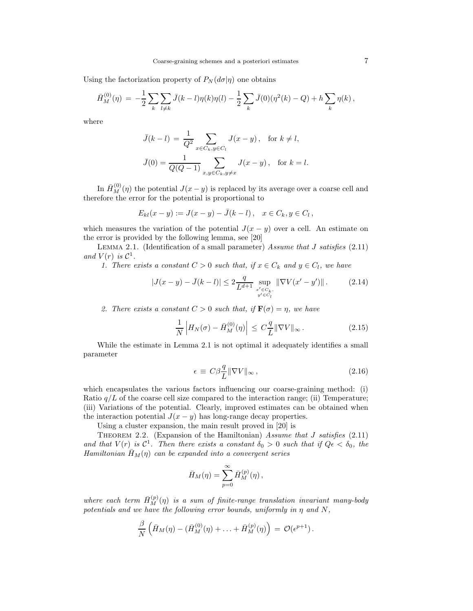Using the factorization property of  $P_N(d\sigma|\eta)$  one obtains

$$
\bar{H}_M^{(0)}(\eta) = -\frac{1}{2} \sum_k \sum_{l \neq k} \bar{J}(k-l)\eta(k)\eta(l) - \frac{1}{2} \sum_k \bar{J}(0)(\eta^2(k) - Q) + h \sum_k \eta(k),
$$

where

$$
\bar{J}(k-l) = \frac{1}{Q^2} \sum_{x \in C_k, y \in C_l} J(x-y), \text{ for } k \neq l,
$$
  

$$
\bar{J}(0) = \frac{1}{Q(Q-1)} \sum_{x,y \in C_k, y \neq x} J(x-y), \text{ for } k = l.
$$

In  $\bar{H}_{M}^{(0)}(\eta)$  the potential  $J(x-y)$  is replaced by its average over a coarse cell and therefore the error for the potential is proportional to

$$
E_{kl}(x - y) := J(x - y) - \bar{J}(k - l), \quad x \in C_k, y \in C_l,
$$

which measures the variation of the potential  $J(x - y)$  over a cell. An estimate on the error is provided by the following lemma, see [20]

LEMMA 2.1. (Identification of a small parameter) Assume that  $J$  satisfies  $(2.11)$ and  $V(r)$  is  $\mathcal{C}^1$ .

1. There exists a constant  $C > 0$  such that, if  $x \in C_k$  and  $y \in C_l$ , we have

$$
|J(x - y) - \bar{J}(k - l)| \le 2 \frac{q}{L^{d+1}} \sup_{\substack{x' \in C_k, \\ y' \in C_l}} \|\nabla V(x' - y')\|.
$$
 (2.14)

2. There exists a constant  $C > 0$  such that, if  $\mathbf{F}(\sigma) = \eta$ , we have

$$
\frac{1}{N} \left| H_N(\sigma) - \bar{H}_M^{(0)}(\eta) \right| \le C \frac{q}{L} \|\nabla V\|_{\infty}.
$$
\n(2.15)

While the estimate in Lemma 2.1 is not optimal it adequately identifies a small parameter

$$
\epsilon \equiv C\beta \frac{q}{L} \|\nabla V\|_{\infty},\qquad(2.16)
$$

which encapsulates the various factors influencing our coarse-graining method: (i) Ratio  $q/L$  of the coarse cell size compared to the interaction range; (ii) Temperature; (iii) Variations of the potential. Clearly, improved estimates can be obtained when the interaction potential  $J(x - y)$  has long-range decay properties.

Using a cluster expansion, the main result proved in [20] is

THEOREM 2.2. (Expansion of the Hamiltonian) Assume that  $J$  satisfies (2.11) and that  $V(r)$  is  $C^1$ . Then there exists a constant  $\delta_0 > 0$  such that if  $Q\epsilon < \delta_0$ , the Hamiltonian  $\bar{H}_M(\eta)$  can be expanded into a convergent series

$$
\bar{H}_M(\eta) = \sum_{p=0}^{\infty} \bar{H}_M^{(p)}(\eta) ,
$$

where each term  $\bar{H}_{M}^{(p)}(\eta)$  is a sum of finite-range translation invariant many-body potentials and we have the following error bounds, uniformly in  $\eta$  and  $N$ ,

$$
\frac{\beta}{N}\left(\bar{H}_M(\eta)-(\bar{H}_M^{(0)}(\eta)+\ldots+\bar{H}_M^{(p)}(\eta)\right) = \mathcal{O}(\epsilon^{p+1}).
$$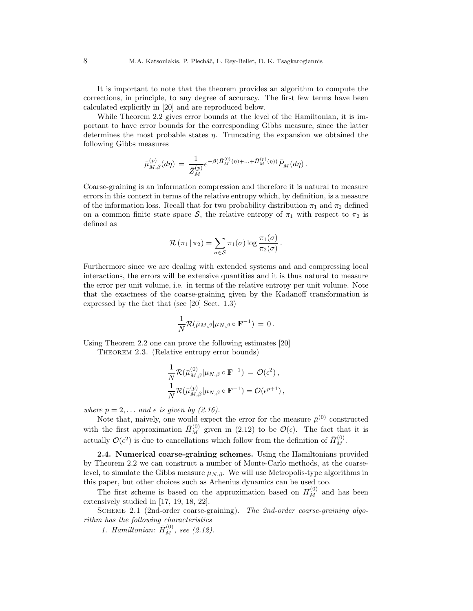It is important to note that the theorem provides an algorithm to compute the corrections, in principle, to any degree of accuracy. The first few terms have been calculated explicitly in [20] and are reproduced below.

While Theorem 2.2 gives error bounds at the level of the Hamiltonian, it is important to have error bounds for the corresponding Gibbs measure, since the latter determines the most probable states  $\eta$ . Truncating the expansion we obtained the following Gibbs measures

$$
\bar{\mu}^{(p)}_{M,\beta}(d\eta) \,=\, \frac{1}{\bar{Z}^{(p)}_M} e^{-\beta(\bar{H}^{(0)}_M(\eta)+...+\bar{H}^{(p)}_M(\eta))} \bar{P}_M(d\eta)\,.
$$

Coarse-graining is an information compression and therefore it is natural to measure errors in this context in terms of the relative entropy which, by definition, is a measure of the information loss. Recall that for two probability distribution  $\pi_1$  and  $\pi_2$  defined on a common finite state space S, the relative entropy of  $\pi_1$  with respect to  $\pi_2$  is defined as

$$
\mathcal{R}(\pi_1 | \pi_2) = \sum_{\sigma \in \mathcal{S}} \pi_1(\sigma) \log \frac{\pi_1(\sigma)}{\pi_2(\sigma)}.
$$

Furthermore since we are dealing with extended systems and and compressing local interactions, the errors will be extensive quantities and it is thus natural to measure the error per unit volume, i.e. in terms of the relative entropy per unit volume. Note that the exactness of the coarse-graining given by the Kadanoff transformation is expressed by the fact that (see [20] Sect. 1.3)

$$
\frac{1}{N}\mathcal{R}(\bar{\mu}_{M,\beta}|\mu_{N,\beta}\circ\mathbf{F}^{-1})\,=\,0\,.
$$

Using Theorem 2.2 one can prove the following estimates [20]

THEOREM 2.3. (Relative entropy error bounds)

$$
\frac{1}{N} \mathcal{R}(\bar{\mu}_{M,\beta}^{(0)} | \mu_{N,\beta} \circ \mathbf{F}^{-1}) = \mathcal{O}(\epsilon^2),
$$
  

$$
\frac{1}{N} \mathcal{R}(\bar{\mu}_{M,\beta}^{(p)} | \mu_{N,\beta} \circ \mathbf{F}^{-1}) = \mathcal{O}(\epsilon^{p+1}),
$$

where  $p = 2, \ldots$  and  $\epsilon$  is given by (2.16).

Note that, naively, one would expect the error for the measure  $\bar{\mu}^{(0)}$  constructed with the first approximation  $\bar{H}_{M}^{(0)}$  given in (2.12) to be  $\mathcal{O}(\epsilon)$ . The fact that it is actually  $\mathcal{O}(\epsilon^2)$  is due to cancellations which follow from the definition of  $\bar{H}_{M}^{(0)}$ .

2.4. Numerical coarse-graining schemes. Using the Hamiltonians provided by Theorem 2.2 we can construct a number of Monte-Carlo methods, at the coarselevel, to simulate the Gibbs measure  $\mu_{N,\beta}$ . We will use Metropolis-type algorithms in this paper, but other choices such as Arhenius dynamics can be used too.

The first scheme is based on the approximation based on  $H_M^{(0)}$  and has been extensively studied in [17, 19, 18, 22].

SCHEME 2.1 (2nd-order coarse-graining). The 2nd-order coarse-graining algorithm has the following characteristics

1. Hamiltonian:  $\bar{H}_{M}^{(0)}$ , see (2.12).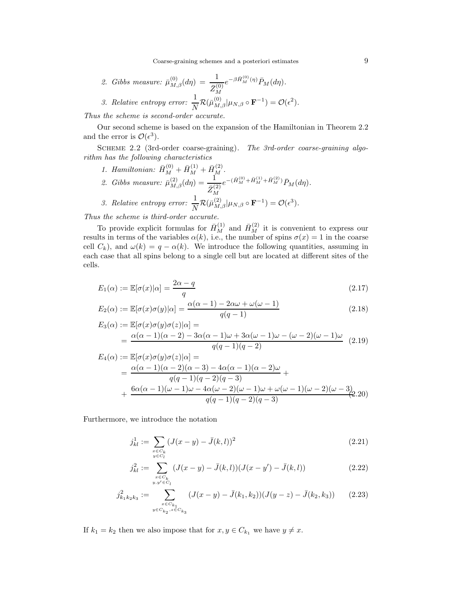Coarse-graining schemes and a posteriori estimates 9

\n- 2. Gibbs measure: 
$$
\bar{\mu}_{M,\beta}^{(0)}(d\eta) = \frac{1}{\bar{Z}_M^{(0)}} e^{-\beta \bar{H}_M^{(0)}(\eta)} \bar{P}_M(d\eta).
$$
\n- 3. Relative entropy error:  $\frac{1}{N} \mathcal{R}(\bar{\mu}_{M,\beta}^{(0)} | \mu_{N,\beta} \circ \mathbf{F}^{-1}) = \mathcal{O}(\epsilon^2).$
\n

Thus the scheme is second-order accurate.

Our second scheme is based on the expansion of the Hamiltonian in Theorem 2.2 and the error is  $\mathcal{O}(\epsilon^3)$ .

SCHEME 2.2 (3rd-order coarse-graining). The 3rd-order coarse-graining algorithm has the following characteristics

\n- 1. Hamiltonian: 
$$
\bar{H}_{M}^{(0)} + \bar{H}_{M}^{(1)} + \bar{H}_{M}^{(2)}
$$
.
\n- 2. Gibbs measure:  $\bar{\mu}_{M,\beta}^{(2)}(d\eta) = \frac{1}{\bar{Z}_{M}^{(2)}} e^{-(\bar{H}_{M}^{(0)} + \bar{H}_{M}^{(1)} + \bar{H}_{M}^{(2)})} \bar{P}_{M}(d\eta)$ .
\n- 3. Relative entropy error:  $\frac{1}{N} \mathcal{R}(\bar{\mu}_{M,\beta}^{(2)} | \mu_{N,\beta} \circ \mathbf{F}^{-1}) = \mathcal{O}(\epsilon^{3})$ .
\n

Thus the scheme is third-order accurate.

To provide explicit formulas for  $\bar{H}_{M}^{(1)}$  and  $\bar{H}_{M}^{(2)}$  it is convenient to express our results in terms of the variables  $\alpha(k)$ , i.e., the number of spins  $\sigma(x) = 1$  in the coarse cell  $C_k$ ), and  $\omega(k) = q - \alpha(k)$ . We introduce the following quantities, assuming in each case that all spins belong to a single cell but are located at different sites of the cells.

$$
E_1(\alpha) := \mathbb{E}[\sigma(x)|\alpha] = \frac{2\alpha - q}{q}
$$
\n(2.17)

$$
E_2(\alpha) := \mathbb{E}[\sigma(x)\sigma(y)|\alpha] = \frac{\alpha(\alpha - 1) - 2\alpha\omega + \omega(\omega - 1)}{q(q - 1)}
$$
(2.18)

$$
E_3(\alpha) := \mathbb{E}[\sigma(x)\sigma(y)\sigma(z)|\alpha] =
$$
  
= 
$$
\frac{\alpha(\alpha - 1)(\alpha - 2) - 3\alpha(\alpha - 1)\omega + 3\alpha(\omega - 1)\omega - (\omega - 2)(\omega - 1)\omega}{q(q - 1)(q - 2)}
$$
 (2.19)

$$
E_4(\alpha) := \mathbb{E}[\sigma(x)\sigma(y)\sigma(z)|\alpha] =
$$
  
= 
$$
\frac{\alpha(\alpha - 1)(\alpha - 2)(\alpha - 3) - 4\alpha(\alpha - 1)(\alpha - 2)\omega}{q(q - 1)(q - 2)(q - 3)} +
$$
  
+ 
$$
\frac{6\alpha(\alpha - 1)(\omega - 1)\omega - 4\alpha(\omega - 2)(\omega - 1)\omega + \omega(\omega - 1)(\omega - 2)(\omega - 3)}{q(q - 1)(q - 2)(q - 3)}.
$$
 (2.20)

Furthermore, we introduce the notation

$$
j_{kl}^1 := \sum_{\substack{x \in C_k \\ y \in C_l}} (J(x - y) - \bar{J}(k, l))^2
$$
\n(2.21)

$$
j_{kl}^2 := \sum_{\substack{x \in C_k \\ y, y' \in C_l}} (J(x - y) - \bar{J}(k, l))(J(x - y') - \bar{J}(k, l)) \tag{2.22}
$$

$$
j_{k_1k_2k_3}^2 := \sum_{\substack{x \in C_{k_1} \\ y \in C_{k_2}, z \in C_{k_3}}} (J(x - y) - \bar{J}(k_1, k_2)) (J(y - z) - \bar{J}(k_2, k_3)) \tag{2.23}
$$

If  $k_1 = k_2$  then we also impose that for  $x, y \in C_{k_1}$  we have  $y \neq x$ .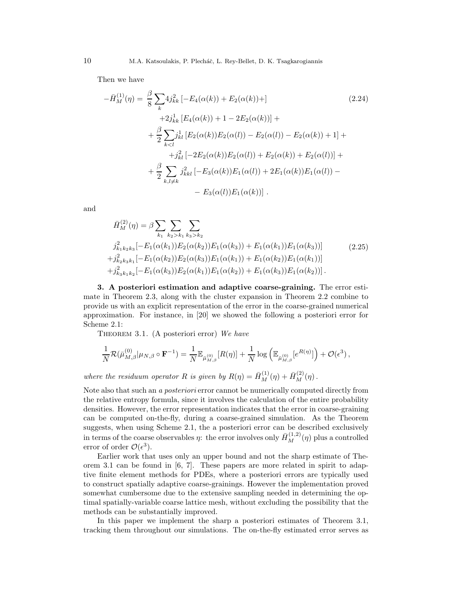Then we have

$$
-\bar{H}_{M}^{(1)}(\eta) = \frac{\beta}{8} \sum_{k} 4j_{kk}^{2} \left[ -E_{4}(\alpha(k)) + E_{2}(\alpha(k)) + \right]
$$
(2.24)  
+2j\_{kk}^{1}[E\_{4}(\alpha(k)) + 1 - 2E\_{2}(\alpha(k))] +  
+ \frac{\beta}{2} \sum\_{k < l} j\_{kl}^{1}[E\_{2}(\alpha(k))E\_{2}(\alpha(l)) - E\_{2}(\alpha(l)) - E\_{2}(\alpha(k)) + 1] +  
+ j\_{kl}^{2}[ -2E\_{2}(\alpha(k))E\_{2}(\alpha(l)) + E\_{2}(\alpha(k)) + E\_{2}(\alpha(l)) ] +  
+ \frac{\beta}{2} \sum\_{k, l \neq k} j\_{kkl}^{2}[ -E\_{3}(\alpha(k))E\_{1}(\alpha(l)) + 2E\_{1}(\alpha(k))E\_{1}(\alpha(l)) -  
- E\_{3}(\alpha(l))E\_{1}(\alpha(k)) ] . \tag{2.24}

and

$$
\bar{H}_{M}^{(2)}(\eta) = \beta \sum_{k_1} \sum_{k_2 > k_1} \sum_{k_3 > k_2} \sum_{k_4 > k_2 > k_3} \bar{j}_{k_1 k_2 k_3}^2 [-E_1(\alpha(k_1))E_2(\alpha(k_2))E_1(\alpha(k_3)) + E_1(\alpha(k_1))E_1(\alpha(k_3))]
$$
\n
$$
+ j_{k_2 k_3 k_1}^2 [-E_1(\alpha(k_2))E_2(\alpha(k_3))E_1(\alpha(k_1)) + E_1(\alpha(k_2))E_1(\alpha(k_1))]
$$
\n
$$
+ j_{k_3 k_1 k_2}^2 [-E_1(\alpha(k_3))E_2(\alpha(k_1))E_1(\alpha(k_2)) + E_1(\alpha(k_3))E_1(\alpha(k_2))].
$$
\n(2.25)

3. A posteriori estimation and adaptive coarse-graining. The error estimate in Theorem 2.3, along with the cluster expansion in Theorem 2.2 combine to provide us with an explicit representation of the error in the coarse-grained numerical approximation. For instance, in [20] we showed the following a posteriori error for Scheme 2.1:

THEOREM 3.1. (A posteriori error) We have

$$
\frac{1}{N} \mathcal{R}(\bar{\mu}_{M,\beta}^{(0)} | \mu_{N,\beta} \circ \mathbf{F}^{-1}) = \frac{1}{N} \mathbb{E}_{\bar{\mu}_{M,\beta}^{(0)}}[R(\eta)] + \frac{1}{N} \log \left( \mathbb{E}_{\bar{\mu}_{M,\beta}^{(0)}}[e^{R(\eta)}] \right) + \mathcal{O}(\epsilon^3),
$$

where the residuum operator R is given by  $R(\eta) = \bar{H}_M^{(1)}(\eta) + \bar{H}_M^{(2)}(\eta)$ .

Note also that such an a *posteriori* error cannot be numerically computed directly from the relative entropy formula, since it involves the calculation of the entire probability densities. However, the error representation indicates that the error in coarse-graining can be computed on-the-fly, during a coarse-grained simulation. As the Theorem suggests, when using Scheme 2.1, the a posteriori error can be described exclusively in terms of the coarse observables  $\eta$ : the error involves only  $\bar{H}_{M}^{(1,2)}(\eta)$  plus a controlled error of order  $\mathcal{O}(\epsilon^3)$ .

Earlier work that uses only an upper bound and not the sharp estimate of Theorem 3.1 can be found in [6, 7]. These papers are more related in spirit to adaptive finite element methods for PDEs, where a posteriori errors are typically used to construct spatially adaptive coarse-grainings. However the implementation proved somewhat cumbersome due to the extensive sampling needed in determining the optimal spatially-variable coarse lattice mesh, without excluding the possibility that the methods can be substantially improved.

In this paper we implement the sharp a posteriori estimates of Theorem 3.1, tracking them throughout our simulations. The on-the-fly estimated error serves as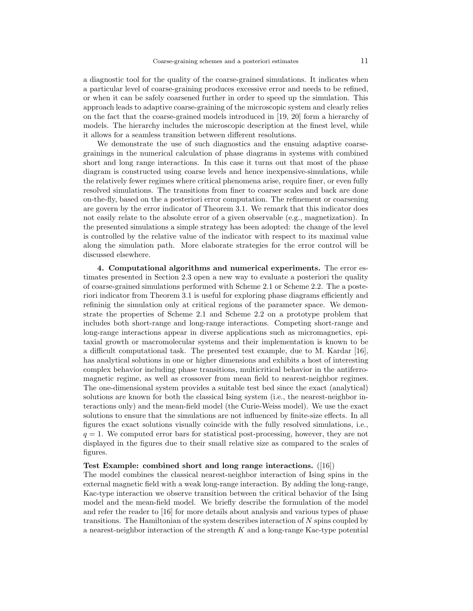a diagnostic tool for the quality of the coarse-grained simulations. It indicates when a particular level of coarse-graining produces excessive error and needs to be refined, or when it can be safely coarsened further in order to speed up the simulation. This approach leads to adaptive coarse-graining of the microscopic system and clearly relies on the fact that the coarse-grained models introduced in [19, 20] form a hierarchy of models. The hierarchy includes the microscopic description at the finest level, while it allows for a seamless transition between different resolutions.

We demonstrate the use of such diagnostics and the ensuing adaptive coarsegrainings in the numerical calculation of phase diagrams in systems with combined short and long range interactions. In this case it turns out that most of the phase diagram is constructed using coarse levels and hence inexpensive-simulations, while the relatively fewer regimes where critical phenomena arise, require finer, or even fully resolved simulations. The transitions from finer to coarser scales and back are done on-the-fly, based on the a posteriori error computation. The refinement or coarsening are govern by the error indicator of Theorem 3.1. We remark that this indicator does not easily relate to the absolute error of a given observable (e.g., magnetization). In the presented simulations a simple strategy has been adopted: the change of the level is controlled by the relative value of the indicator with respect to its maximal value along the simulation path. More elaborate strategies for the error control will be discussed elsewhere.

4. Computational algorithms and numerical experiments. The error estimates presented in Section 2.3 open a new way to evaluate a posteriori the quality of coarse-grained simulations performed with Scheme 2.1 or Scheme 2.2. The a posteriori indicator from Theorem 3.1 is useful for exploring phase diagrams efficiently and refininig the simulation only at critical regions of the parameter space. We demonstrate the properties of Scheme 2.1 and Scheme 2.2 on a prototype problem that includes both short-range and long-range interactions. Competing short-range and long-range interactions appear in diverse applications such as micromagnetics, epitaxial growth or macromolecular systems and their implementation is known to be a difficult computational task. The presented test example, due to M. Kardar [16], has analytical solutions in one or higher dimensions and exhibits a host of interesting complex behavior including phase transitions, multicritical behavior in the antiferromagnetic regime, as well as crossover from mean field to nearest-neighbor regimes. The one-dimensional system provides a suitable test bed since the exact (analytical) solutions are known for both the classical Ising system (i.e., the nearest-neighbor interactions only) and the mean-field model (the Curie-Weiss model). We use the exact solutions to ensure that the simulations are not influenced by finite-size effects. In all figures the exact solutions visually coincide with the fully resolved simulations, i.e.,  $q = 1$ . We computed error bars for statistical post-processing, however, they are not displayed in the figures due to their small relative size as compared to the scales of figures.

#### Test Example: combined short and long range interactions. ([16])

The model combines the classical nearest-neighbor interaction of Ising spins in the external magnetic field with a weak long-range interaction. By adding the long-range, Kac-type interaction we observe transition between the critical behavior of the Ising model and the mean-field model. We briefly describe the formulation of the model and refer the reader to [16] for more details about analysis and various types of phase transitions. The Hamiltonian of the system describes interaction of N spins coupled by a nearest-neighbor interaction of the strength  $K$  and a long-range Kac-type potential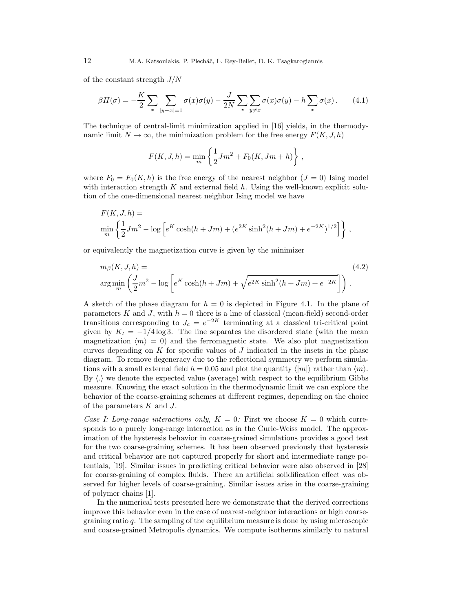of the constant strength  $J/N$ 

$$
\beta H(\sigma) = -\frac{K}{2} \sum_{x} \sum_{|y-x|=1} \sigma(x)\sigma(y) - \frac{J}{2N} \sum_{x} \sum_{y \neq x} \sigma(x)\sigma(y) - h \sum_{x} \sigma(x). \tag{4.1}
$$

The technique of central-limit minimization applied in [16] yields, in the thermodynamic limit  $N \to \infty$ , the minimization problem for the free energy  $F(K, J, h)$ 

$$
F(K, J, h) = \min_{m} \left\{ \frac{1}{2} J m^2 + F_0(K, Jm + h) \right\},\,
$$

where  $F_0 = F_0(K, h)$  is the free energy of the nearest neighbor  $(J = 0)$  Ising model with interaction strength  $K$  and external field  $h$ . Using the well-known explicit solution of the one-dimensional nearest neighbor Ising model we have

$$
F(K, J, h) =
$$
  
\n
$$
\min_{m} \left\{ \frac{1}{2} J m^2 - \log \left[ e^K \cosh(h + Jm) + (e^{2K} \sinh^2(h + Jm) + e^{-2K})^{1/2} \right] \right\},
$$

or equivalently the magnetization curve is given by the minimizer

$$
m_{\beta}(K, J, h) =
$$
  
arg min $\left(\frac{J}{2}m^2 - \log \left[e^K \cosh(h + Jm) + \sqrt{e^{2K} \sinh^2(h + Jm) + e^{-2K}}\right]\right)$ . (4.2)

A sketch of the phase diagram for  $h = 0$  is depicted in Figure 4.1. In the plane of parameters K and J, with  $h = 0$  there is a line of classical (mean-field) second-order transitions corresponding to  $J_c = e^{-2K}$  terminating at a classical tri-critical point given by  $K_t = -1/4 \log 3$ . The line separates the disordered state (with the mean magnetization  $\langle m \rangle = 0$ ) and the ferromagnetic state. We also plot magnetization curves depending on  $K$  for specific values of  $J$  indicated in the insets in the phase diagram. To remove degeneracy due to the reflectional symmetry we perform simulations with a small external field  $h = 0.05$  and plot the quantity  $\langle |m| \rangle$  rather than  $\langle m \rangle$ . By  $\langle \cdot \rangle$  we denote the expected value (average) with respect to the equilibrium Gibbs measure. Knowing the exact solution in the thermodynamic limit we can explore the behavior of the coarse-graining schemes at different regimes, depending on the choice of the parameters  $K$  and  $J$ .

Case I: Long-range interactions only,  $K = 0$ : First we choose  $K = 0$  which corresponds to a purely long-range interaction as in the Curie-Weiss model. The approximation of the hysteresis behavior in coarse-grained simulations provides a good test for the two coarse-graining schemes. It has been observed previously that hysteresis and critical behavior are not captured properly for short and intermediate range potentials, [19]. Similar issues in predicting critical behavior were also observed in [28] for coarse-graining of complex fluids. There an artificial solidification effect was observed for higher levels of coarse-graining. Similar issues arise in the coarse-graining of polymer chains [1].

In the numerical tests presented here we demonstrate that the derived corrections improve this behavior even in the case of nearest-neighbor interactions or high coarsegraining ratio  $q$ . The sampling of the equilibrium measure is done by using microscopic and coarse-grained Metropolis dynamics. We compute isotherms similarly to natural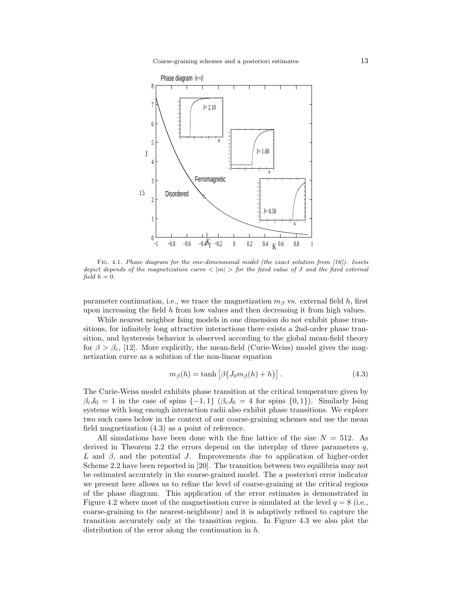

FIG. 4.1. Phase diagram for the one-dimensional model (the exact solution from [16]). Insets depict depends of the magnetization curve  $\langle |m| \rangle$  for the fixed value of J and the fixed external field  $h = 0$ .

parameter continuation, i.e., we trace the magnetization  $m<sub>\beta</sub>$  vs. external field h, first upon increasing the field  $h$  from low values and then decreasing it from high values.

While nearest neighbor Ising models in one dimension do not exhibit phase transitions, for infinitely long attractive interactions there exists a 2nd-order phase transition, and hysteresis behavior is observed according to the global mean-field theory for  $\beta > \beta_c$ , [12]. More explicitly, the mean-field (Curie-Weiss) model gives the magnetization curve as a solution of the non-linear equation

$$
m_{\beta}(h) = \tanh\left[\beta\big(J_0 m_{\beta}(h) + h\big)\right].\tag{4.3}
$$

The Curie-Weiss model exhibits phase transition at the critical temperature given by  $\beta_c J_0 = 1$  in the case of spins  $\{-1, 1\}$   $(\beta_c J_0 = 4$  for spins  $\{0, 1\})$ . Similarly Ising systems with long enough interaction radii also exhibit phase transitions. We explore two such cases below in the context of our coarse-graining schemes and use the mean field magnetization (4.3) as a point of reference.

All simulations have been done with the fine lattice of the size  $N = 512$ . As derived in Theorem 2.2 the errors depend on the interplay of three parameters  $q$ , L and  $\beta$ , and the potential J. Improvements due to application of higher-order Scheme 2.2 have been reported in [20]. The transition between two equilibria may not be estimated accurately in the coarse-grained model. The a posteriori error indicator we present here allows us to refine the level of coarse-graining at the critical regions of the phase diagram. This application of the error estimates is demonstrated in Figure 4.2 where most of the magnetisation curve is simulated at the level  $q = 8$  (i.e., coarse-graining to the nearest-neighbour) and it is adaptively refined to capture the transition accurately only at the transition region. In Figure 4.3 we also plot the distribution of the error along the continuation in  $h$ .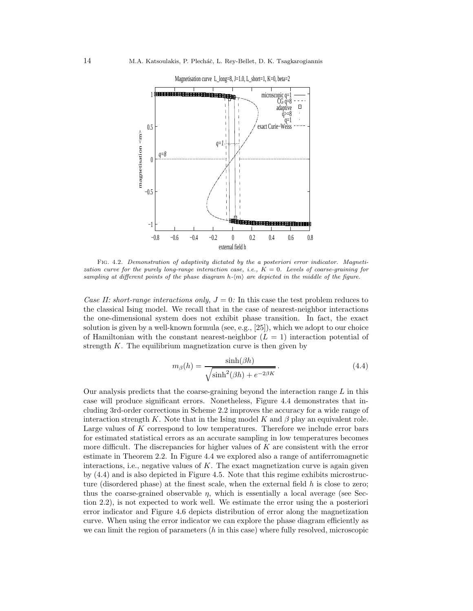

Magnetisation curve L\_long=8, J=1.0, L\_short=1, K=0, beta=2

Fig. 4.2. Demonstration of adaptivity dictated by the a posteriori error indicator. Magnetization curve for the purely long-range interaction case, i.e.,  $K = 0$ . Levels of coarse-graining for sampling at different points of the phase diagram  $h - \langle m \rangle$  are depicted in the middle of the figure.

Case II: short-range interactions only,  $J = 0$ : In this case the test problem reduces to the classical Ising model. We recall that in the case of nearest-neighbor interactions the one-dimensional system does not exhibit phase transition. In fact, the exact solution is given by a well-known formula (see, e.g., [25]), which we adopt to our choice of Hamiltonian with the constant nearest-neighbor  $(L = 1)$  interaction potential of strength  $K$ . The equilibrium magnetization curve is then given by

$$
m_{\beta}(h) = \frac{\sinh(\beta h)}{\sqrt{\sinh^2(\beta h) + e^{-2\beta K}}}.
$$
\n(4.4)

Our analysis predicts that the coarse-graining beyond the interaction range  $L$  in this case will produce significant errors. Nonetheless, Figure 4.4 demonstrates that including 3rd-order corrections in Scheme 2.2 improves the accuracy for a wide range of interaction strength K. Note that in the Ising model K and  $\beta$  play an equivalent role. Large values of  $K$  correspond to low temperatures. Therefore we include error bars for estimated statistical errors as an accurate sampling in low temperatures becomes more difficult. The discrepancies for higher values of  $K$  are consistent with the error estimate in Theorem 2.2. In Figure 4.4 we explored also a range of antiferromagnetic interactions, i.e., negative values of  $K$ . The exact magnetization curve is again given by (4.4) and is also depicted in Figure 4.5. Note that this regime exhibits microstructure (disordered phase) at the finest scale, when the external field  $h$  is close to zero; thus the coarse-grained observable  $\eta$ , which is essentially a local average (see Section 2.2), is not expected to work well. We estimate the error using the a posteriori error indicator and Figure 4.6 depicts distribution of error along the magnetization curve. When using the error indicator we can explore the phase diagram efficiently as we can limit the region of parameters (h in this case) where fully resolved, microscopic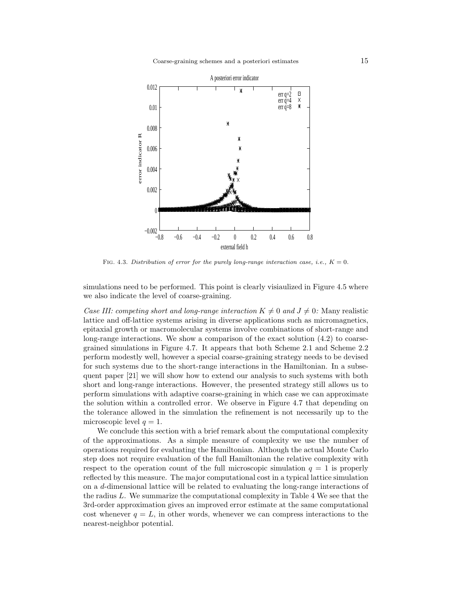

FIG. 4.3. Distribution of error for the purely long-range interaction case, i.e.,  $K = 0$ .

simulations need to be performed. This point is clearly visiaulized in Figure 4.5 where we also indicate the level of coarse-graining.

Case III: competing short and long-range interaction  $K \neq 0$  and  $J \neq 0$ : Many realistic lattice and off-lattice systems arising in diverse applications such as micromagnetics, epitaxial growth or macromolecular systems involve combinations of short-range and long-range interactions. We show a comparison of the exact solution  $(4.2)$  to coarsegrained simulations in Figure 4.7. It appears that both Scheme 2.1 and Scheme 2.2 perform modestly well, however a special coarse-graining strategy needs to be devised for such systems due to the short-range interactions in the Hamiltonian. In a subsequent paper [21] we will show how to extend our analysis to such systems with both short and long-range interactions. However, the presented strategy still allows us to perform simulations with adaptive coarse-graining in which case we can approximate the solution within a controlled error. We observe in Figure 4.7 that depending on the tolerance allowed in the simulation the refinement is not necessarily up to the microscopic level  $q = 1$ .

We conclude this section with a brief remark about the computational complexity of the approximations. As a simple measure of complexity we use the number of operations required for evaluating the Hamiltonian. Although the actual Monte Carlo step does not require evaluation of the full Hamiltonian the relative complexity with respect to the operation count of the full microscopic simulation  $q = 1$  is properly reflected by this measure. The major computational cost in a typical lattice simulation on a d-dimensional lattice will be related to evaluating the long-range interactions of the radius L. We summarize the computational complexity in Table 4 We see that the 3rd-order approximation gives an improved error estimate at the same computational cost whenever  $q = L$ , in other words, whenever we can compress interactions to the nearest-neighbor potential.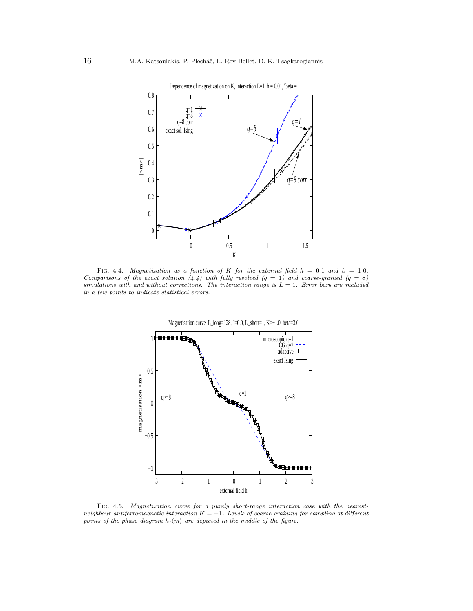

FIG. 4.4. Magnetization as a function of K for the external field  $h = 0.1$  and  $\beta = 1.0$ . Comparisons of the exact solution  $(4.4)$  with fully resolved  $(q = 1)$  and coarse-grained  $(q = 8)$ simulations with and without corrections. The interaction range is  $L = 1$ . Error bars are included in a few points to indicate statistical errors.



Fig. 4.5. Magnetization curve for a purely short-range interaction case with the nearestneighbour antiferromagnetic interaction  $K = -1$ . Levels of coarse-graining for sampling at different points of the phase diagram  $h - \langle m \rangle$  are depicted in the middle of the figure.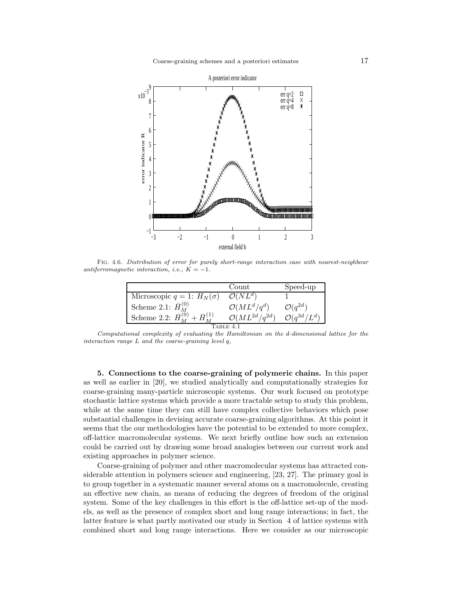

Fig. 4.6. Distribution of error for purely short-range interaction case with nearest-neighbour antiferromagnetic interaction, i.e.,  $K = -1$ .

|                                                     | Count                          | Speed-up                  |
|-----------------------------------------------------|--------------------------------|---------------------------|
| Microscopic $q = 1$ : $H_N(\sigma)$                 | $\mathcal{O}(N\overline{L^d})$ |                           |
| Scheme 2.1: $\bar{H}_{M}^{(0)}$                     | $\mathcal{O}(ML^d/q^d)$        | $\mathcal{O}(q^{2d})$     |
| Scheme 2.2: $\bar{H}_{M}^{(0)} + \bar{H}_{M}^{(1)}$ | $\mathcal{O}(ML^{2d}/q^{2d})$  | $\mathcal{O}(a^{3d}/L^d)$ |
| TARLE 4 1                                           |                                |                           |

Computational complexity of evaluating the Hamiltonian on the d-dimensional lattice for the interaction range L and the coarse-graining level q,

5. Connections to the coarse-graining of polymeric chains. In this paper as well as earlier in [20], we studied analytically and computationally strategies for coarse-graining many-particle microscopic systems. Our work focused on prototype stochastic lattice systems which provide a more tractable setup to study this problem, while at the same time they can still have complex collective behaviors which pose substantial challenges in devising accurate coarse-graining algorithms. At this point it seems that the our methodologies have the potential to be extended to more complex, off-lattice macromolecular systems. We next briefly outline how such an extension could be carried out by drawing some broad analogies between our current work and existing approaches in polymer science.

Coarse-graining of polymer and other macromolecular systems has attracted considerable attention in polymers science and engineering, [23, 27]. The primary goal is to group together in a systematic manner several atoms on a macromolecule, creating an effective new chain, as means of reducing the degrees of freedom of the original system. Some of the key challenges in this effort is the off-lattice set-up of the models, as well as the presence of complex short and long range interactions; in fact, the latter feature is what partly motivated our study in Section 4 of lattice systems with combined short and long range interactions. Here we consider as our microscopic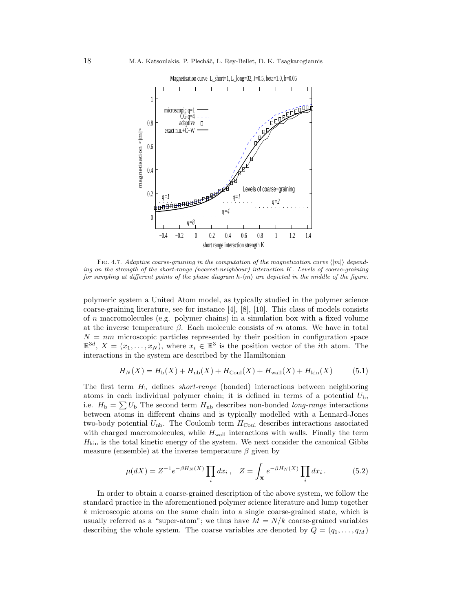

Magnetisation curve L\_short=1, L\_long=32, J=0.5, beta=1.0, h=0.05

FIG. 4.7. Adaptive coarse-graining in the computation of the magnetization curve  $\langle |m|\rangle$  depending on the strength of the short-range (nearest-neighbour) interaction K. Levels of coarse-graining for sampling at different points of the phase diagram  $h$ - $\langle m \rangle$  are depicted in the middle of the figure.

polymeric system a United Atom model, as typically studied in the polymer science coarse-graining literature, see for instance [4], [8], [10]. This class of models consists of n macromolecules (e.g. polymer chains) in a simulation box with a fixed volume at the inverse temperature  $\beta$ . Each molecule consists of m atoms. We have in total  $N = nm$  microscopic particles represented by their position in configuration space  $\mathbb{R}^{3d}$ ,  $X = (x_1, \ldots, x_N)$ , where  $x_i \in \mathbb{R}^3$  is the position vector of the *i*th atom. The interactions in the system are described by the Hamiltonian

$$
H_N(X) = H_{\text{b}}(X) + H_{\text{nb}}(X) + H_{\text{Coul}}(X) + H_{\text{wall}}(X) + H_{\text{kin}}(X) \tag{5.1}
$$

The first term  $H<sub>b</sub>$  defines *short-range* (bonded) interactions between neighboring atoms in each individual polymer chain; it is defined in terms of a potential  $U_{\rm b}$ , i.e.  $H_{\rm b} = \sum U_{\rm b}$  The second term  $H_{\rm nb}$  describes non-bonded long-range interactions between atoms in different chains and is typically modelled with a Lennard-Jones two-body potential  $U_{\text{nb}}$ . The Coulomb term  $H_{\text{Coul}}$  describes interactions associated with charged macromolecules, while  $H_{\text{wall}}$  interactions with walls. Finally the term  $H_{kin}$  is the total kinetic energy of the system. We next consider the canonical Gibbs measure (ensemble) at the inverse temperature  $\beta$  given by

$$
\mu(dX) = Z^{-1} e^{-\beta H_N(X)} \prod_i dx_i \,, \quad Z = \int_{\mathbf{X}} e^{-\beta H_N(X)} \prod_i dx_i \,. \tag{5.2}
$$

In order to obtain a coarse-grained description of the above system, we follow the standard practice in the aforementioned polymer science literature and lump together  $k$  microscopic atoms on the same chain into a single coarse-grained state, which is usually referred as a "super-atom"; we thus have  $M = N/k$  coarse-grained variables describing the whole system. The coarse variables are denoted by  $Q = (q_1, \ldots, q_M)$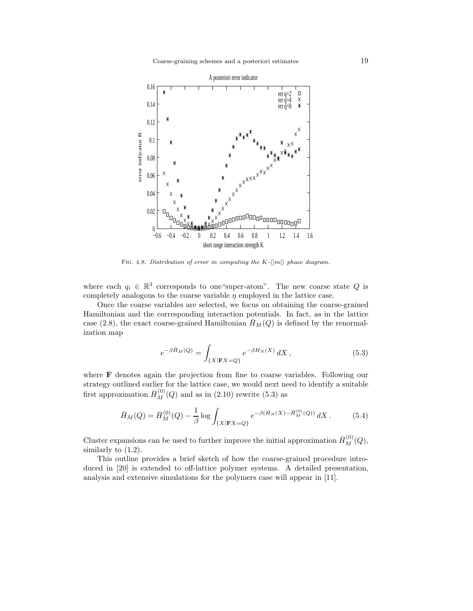

FIG. 4.8. Distribution of error in computing the K- $\langle |m|\rangle$  phase diagram.

where each  $q_i \in \mathbb{R}^3$  corresponds to one "super-atom". The new coarse state Q is completely analogous to the coarse variable  $\eta$  employed in the lattice case.

Once the coarse variables are selected, we focus on obtaining the coarse-grained Hamiltonian and the corresponding interaction potentials. In fact, as in the lattice case (2.8), the exact coarse-grained Hamiltonian  $H_M(Q)$  is defined by the renormalization map

$$
e^{-\beta \bar{H}_M(Q)} = \int_{\{X | \mathbf{F}X = Q\}} e^{-\beta H_N(X)} dX , \qquad (5.3)
$$

where **F** denotes again the projection from fine to coarse variables. Following our strategy outlined earlier for the lattice case, we would next need to identify a suitable first approximation  $\bar{H}_{M}^{(0)}(Q)$  and as in (2.10) rewrite (5.3) as

$$
\bar{H}_M(Q) = \bar{H}_M^{(0)}(Q) - \frac{1}{\beta} \log \int_{\{X | \mathbf{F}X = Q\}} e^{-\beta (H_N(X) - \bar{H}_M^{(0)}(Q))} dX.
$$
 (5.4)

Cluster expansions can be used to further improve the initial approximation  $\bar{H}_{M}^{(0)}(Q)$ , similarly to  $(1.2)$ .

This outline provides a brief sketch of how the coarse-grained procedure introduced in [20] is extended to off-lattice polymer systems. A detailed presentation, analysis and extensive simulations for the polymers case will appear in [11].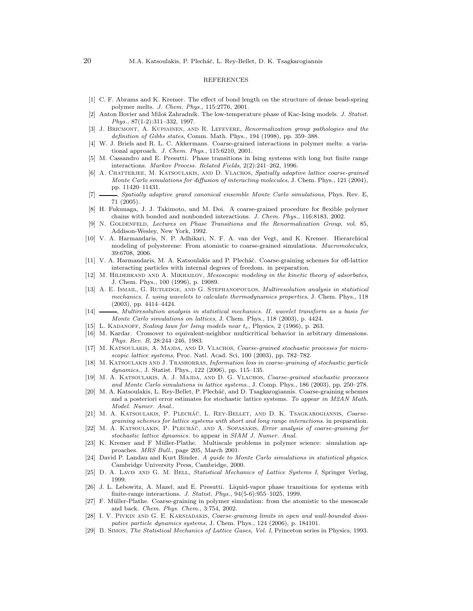#### REFERENCES

- [1] C. F. Abrams and K. Kremer. The effect of bond length on the structure of dense bead-spring polymer melts. J. Chem. Phys., 115:2776, 2001.
- [2] Anton Bovier and Miloš Zahradník. The low-temperature phase of Kac-Ising models. J. Statist. Phys., 87(1-2):311–332, 1997.
- [3] J. Bricmont, A. Kupiainen, and R. Lefevere, Renormalization group pathologies and the definition of Gibbs states, Comm. Math. Phys., 194 (1998), pp. 359–388.
- [4] W. J. Briels and R. L. C. Akkermans. Coarse-grained interactions in polymer melts: a variational approach. J. Chem. Phys., 115:6210, 2001.
- [5] M. Cassandro and E. Presutti. Phase transitions in Ising systems with long but finite range interactions. Markov Process. Related Fields, 2(2):241–262, 1996.
- [6] A. CHATTERJEE, M. KATSOULAKIS, AND D. VLACHOS, Spatially adaptive lattice coarse-grained Monte Carlo simulations for diffusion of interacting molecules, J. Chem. Phys., 121 (2004), pp. 11420–11431.
- [7]  $\longrightarrow$ , Spatially adaptive grand canonical ensemble Monte Carlo simulations, Phys. Rev. E, 71 (2005).
- [8] H. Fukunaga, J. J. Takimoto, and M. Doi. A coarse-grained procedure for flexible polymer chains with bonded and nonbonded interactions. J. Chem. Phys., 116:8183, 2002.
- [9] N. GOLDENFELD, Lectures on Phase Transitions and the Renormalization Group, vol. 85, Addison-Wesley, New York, 1992.
- [10] V. A. Harmandaris, N. P. Adhikari, N. F. A. van der Vegt, and K. Kremer. Hierarchical modeling of polysterene: From atomistic to coarse-grained simulations. Macromolecules, 39:6708, 2006.
- [11] V. A. Harmandaris, M. A. Katsoulakis and P. Plecháč. Coarse-graining schemes for off-lattice interacting particles with internal degrees of freedom. in preparation.
- [12] M. HILDEBRAND AND A. MIKHAILOV, Mesoscopic modeling in the kinetic theory of adsorbates, J. Chem. Phys., 100 (1996), p. 19089.
- [13] A. E. ISMAIL, G. RUTLEDGE, AND G. STEPHANOPOULOS, *Multiresolution analysis in statistical* mechanics. I. using wavelets to calculate thermodynamics properties, J. Chem. Phys., 118 (2003), pp. 4414–4424.
- [14]  $\longrightarrow$ , Multiresolution analysis in statistical mechanics. II. wavelet transform as a basis for Monte Carlo simulations on lattices, J. Chem. Phys., 118 (2003), p. 4424.
- [15] L. KADANOFF, Scaling laws for Ising models near  $t_c$ , Physics, 2 (1966), p. 263.
- [16] M. Kardar. Crossover to equivalent-neighbor multicritical behavior in arbitrary dimensions. Phys. Rev. B, 28:244–246, 1983.
- [17] M. KATSOULAKIS, A. MAJDA, AND D. VLACHOS, Coarse-grained stochastic processes for microscopic lattice systems, Proc. Natl. Acad. Sci, 100 (2003), pp. 782–782.
- [18] M. KATSOULAKIS AND J. TRASHORRAS, *Information loss in coarse-graining of stochastic particle* dynamics., J. Statist. Phys., 122 (2006), pp. 115–135.
- [19] M. A. KATSOULAKIS, A. J. MAJDA, AND D. G. VLACHOS, Coarse-grained stochastic processes and Monte Carlo simulations in lattice systems., J. Comp. Phys., 186 (2003), pp. 250–278.
- [20] M. A. Katsoulakis, L. Rey-Bellet, P. Plecháč, and D. Tsagkarogiannis. Coarse-graining schemes and a posteriori error estimates for stochastic lattice systems. To appear in M2AN Math. Model. Numer. Anal..
- [21] M. A. KATSOULAKIS, P. PLECHÁČ, L. REY-BELLET, AND D. K. TSAGKAROGIANNIS, Coarsegraining schemes for lattice systems with short and long range interactions. in preparation.
- [22] M. A. KATSOULAKIS, P. PLECHÁČ, AND A. SOPASAKIS, Error analysis of coarse-graining for stochastic lattice dynamics. to appear in SIAM J. Numer. Anal.
- [23] K. Kremer and F Müller-Plathe. Multiscale problems in polymer science: simulation approaches. MRS Bull., page 205, March 2001.
- [24] David P. Landau and Kurt Binder. A guide to Monte Carlo simulations in statistical physics. Cambridge University Press, Cambridge, 2000.
- [25] D. A. LAVIS AND G. M. BELL, Statistical Mechanics of Lattice Systems I, Springer Verlag, 1999.
- [26] J. L. Lebowitz, A. Mazel, and E. Presutti. Liquid-vapor phase transitions for systems with finite-range interactions. J. Statist. Phys., 94(5-6):955–1025, 1999.
- [27] F. Müller-Plathe. Coarse-graining in polymer simulation: from the atomistic to the mesoscale and back. Chem. Phys. Chem., 3:754, 2002.
- [28] I. V. PIVKIN AND G. E. KARNIADAKIS, Coarse-graining limits in open and wall-bounded dissipative particle dynamics systems, J. Chem. Phys., 124 (2006), p. 184101.
- [29] B. Simon, The Statistical Mechanics of Lattice Gases, Vol. I, Princeton series in Physics, 1993.